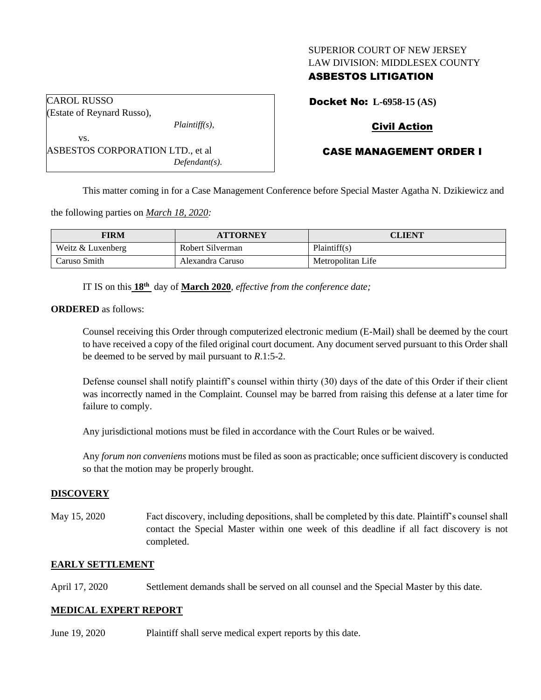## SUPERIOR COURT OF NEW JERSEY LAW DIVISION: MIDDLESEX COUNTY

## ASBESTOS LITIGATION

Docket No: **L-6958-15 (AS)**

# Civil Action

# CASE MANAGEMENT ORDER I

This matter coming in for a Case Management Conference before Special Master Agatha N. Dzikiewicz and

the following parties on *March 18, 2020:*

ASBESTOS CORPORATION LTD., et al

| FIRM              | <b>ATTORNEY</b>  | CLIENT            |
|-------------------|------------------|-------------------|
| Weitz & Luxenberg | Robert Silverman | Plaintiff(s)      |
| Caruso Smith      | Alexandra Caruso | Metropolitan Life |

IT IS on this **18th** day of **March 2020**, *effective from the conference date;*

*Plaintiff(s),*

*Defendant(s).*

**ORDERED** as follows:

CAROL RUSSO

vs.

(Estate of Reynard Russo),

Counsel receiving this Order through computerized electronic medium (E-Mail) shall be deemed by the court to have received a copy of the filed original court document. Any document served pursuant to this Order shall be deemed to be served by mail pursuant to *R*.1:5-2.

Defense counsel shall notify plaintiff's counsel within thirty (30) days of the date of this Order if their client was incorrectly named in the Complaint. Counsel may be barred from raising this defense at a later time for failure to comply.

Any jurisdictional motions must be filed in accordance with the Court Rules or be waived.

Any *forum non conveniens* motions must be filed as soon as practicable; once sufficient discovery is conducted so that the motion may be properly brought.

#### **DISCOVERY**

May 15, 2020 Fact discovery, including depositions, shall be completed by this date. Plaintiff's counsel shall contact the Special Master within one week of this deadline if all fact discovery is not completed.

#### **EARLY SETTLEMENT**

April 17, 2020 Settlement demands shall be served on all counsel and the Special Master by this date.

#### **MEDICAL EXPERT REPORT**

June 19, 2020 Plaintiff shall serve medical expert reports by this date.